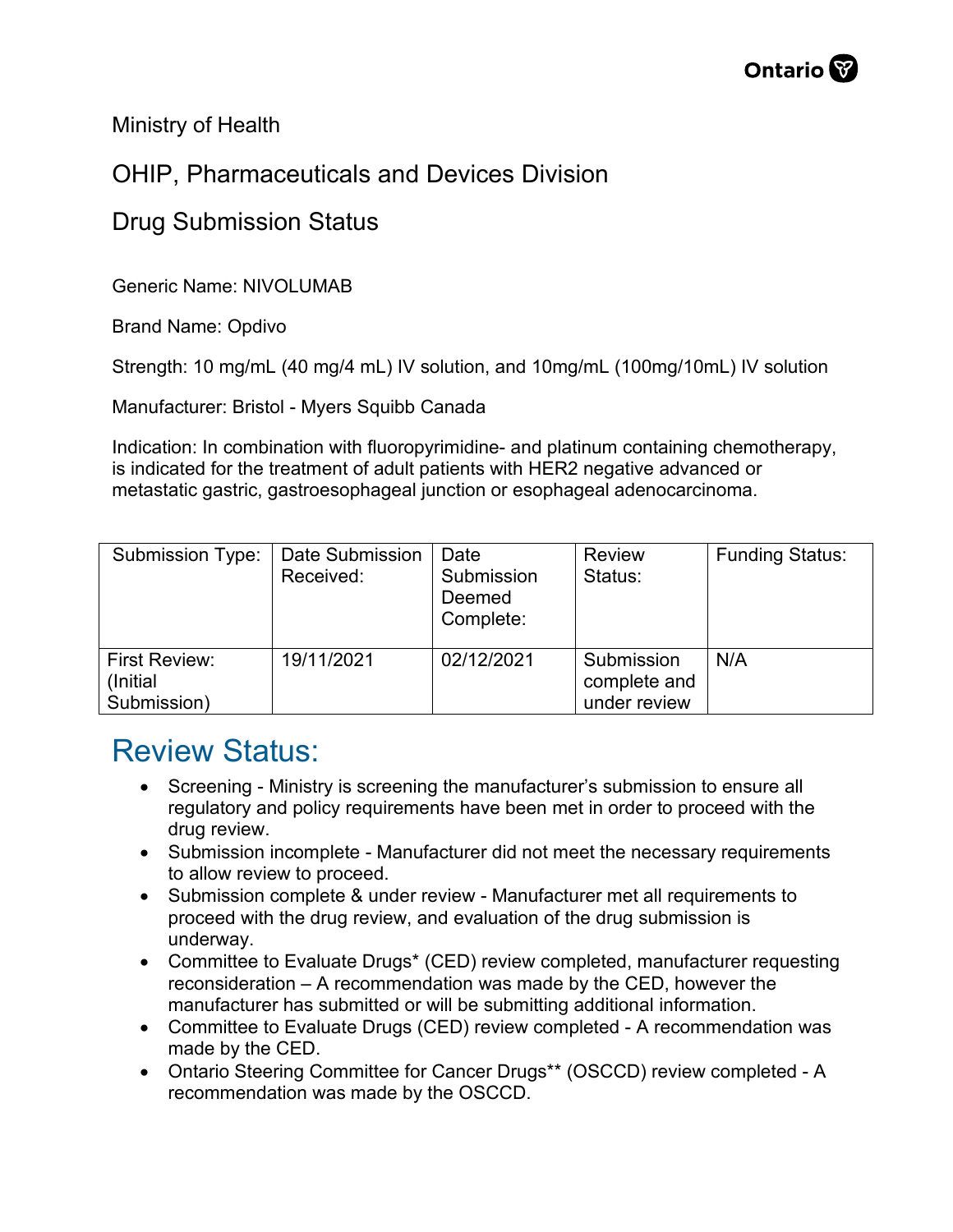Ministry of Health

## OHIP, Pharmaceuticals and Devices Division

## Drug Submission Status

Generic Name: NIVOLUMAB

Brand Name: Opdivo

Strength: 10 mg/mL (40 mg/4 mL) IV solution, and 10mg/mL (100mg/10mL) IV solution

Manufacturer: Bristol - Myers Squibb Canada

Indication: In combination with fluoropyrimidine- and platinum containing chemotherapy, is indicated for the treatment of adult patients with HER2 negative advanced or metastatic gastric, gastroesophageal junction or esophageal adenocarcinoma.

| <b>Submission Type:</b>                          | Date Submission<br>Received: | Date<br>Submission<br>Deemed<br>Complete: | <b>Review</b><br>Status:                   | <b>Funding Status:</b> |
|--------------------------------------------------|------------------------------|-------------------------------------------|--------------------------------------------|------------------------|
| <b>First Review:</b><br>(Initial)<br>Submission) | 19/11/2021                   | 02/12/2021                                | Submission<br>complete and<br>under review | N/A                    |

## Review Status:

- Screening Ministry is screening the manufacturer's submission to ensure all regulatory and policy requirements have been met in order to proceed with the drug review.
- Submission incomplete Manufacturer did not meet the necessary requirements to allow review to proceed.
- Submission complete & under review Manufacturer met all requirements to proceed with the drug review, and evaluation of the drug submission is underway.
- Committee to Evaluate Drugs\* (CED) review completed, manufacturer requesting reconsideration – A recommendation was made by the CED, however the manufacturer has submitted or will be submitting additional information.
- Committee to Evaluate Drugs (CED) review completed A recommendation was made by the CED.
- Ontario Steering Committee for Cancer Drugs\*\* (OSCCD) review completed A recommendation was made by the OSCCD.